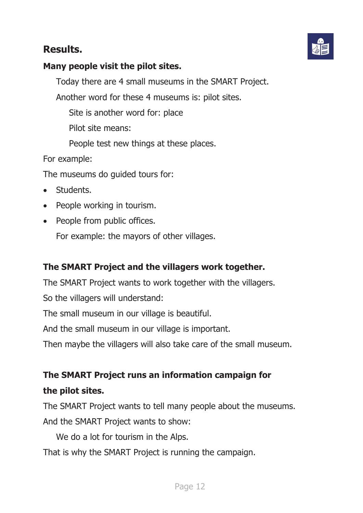## **Results.**



### **Many people visit the pilot sites.**

Today there are 4 small museums in the SMART Project.

Another word for these 4 museums is: pilot sites.

Site is another word for: place

Pilot site means:

People test new things at these places.

For example:

The museums do guided tours for:

- Students.
- People working in tourism.
- People from public offices.

For example: the mayors of other villages.

#### **The SMART Project and the villagers work together.**

The SMART Project wants to work together with the villagers.

So the villagers will understand:

The small museum in our village is beautiful.

And the small museum in our village is important.

Then maybe the villagers will also take care of the small museum.

# **The SMART Project runs an information campaign for the pilot sites.**

The SMART Project wants to tell many people about the museums. And the SMART Project wants to show:

We do a lot for tourism in the Alps.

That is why the SMART Project is running the campaign.